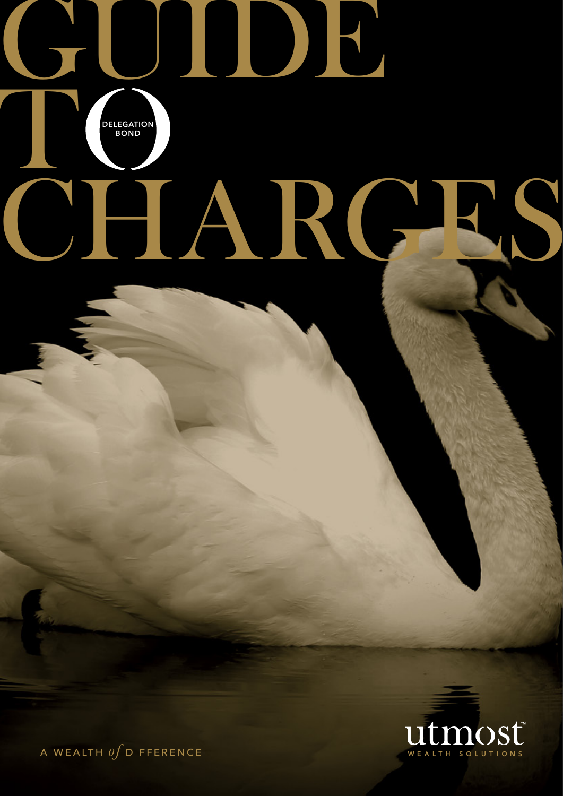# GUIDE t CHARGES **DELEGATION** BOND



A WEALTH  $\iota f$  difference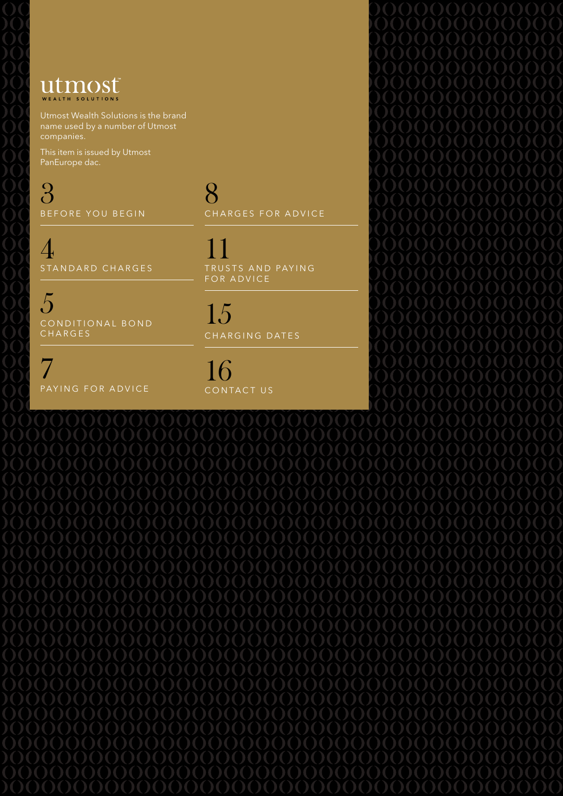# Utmost

Utmost Wealth Solutions is the brand name used by a number of Utmost companies.

This item is issued by Utmost PanEurope dac.

3 BEFORE YOU BEGIN

4 STANDARD CHARGES

5 CONDITIONAL BOND **CHARGES** 

7 PAYING FOR ADVICE 8 CHARGES FOR ADVICE

11 TRUSTS AND PAYING FOR ADVICE

15 CHARGING DATES

 $\bigcap$ CONTACT US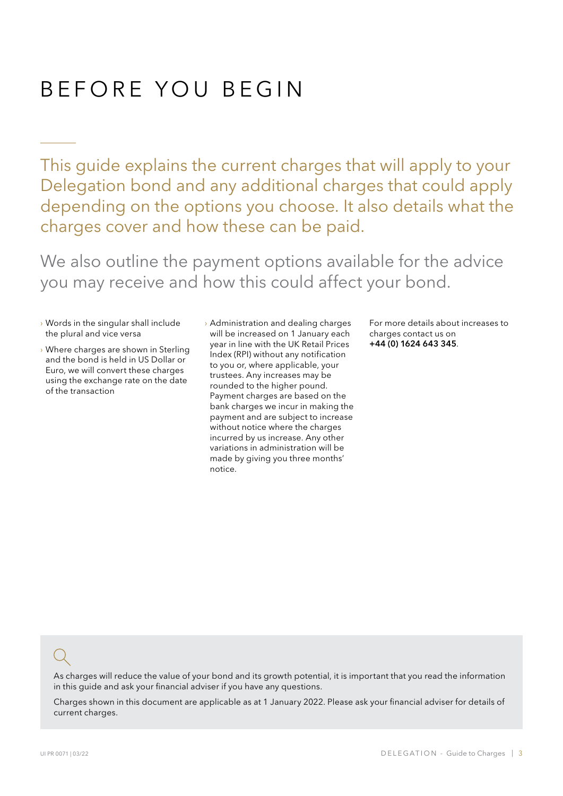# BEFORE YOU BEGIN

This guide explains the current charges that will apply to your Delegation bond and any additional charges that could apply depending on the options you choose. It also details what the charges cover and how these can be paid.

We also outline the payment options available for the advice you may receive and how this could affect your bond.

- › Words in the singular shall include the plural and vice versa
- › Where charges are shown in Sterling and the bond is held in US Dollar or Euro, we will convert these charges using the exchange rate on the date of the transaction
- › Administration and dealing charges will be increased on 1 January each year in line with the UK Retail Prices Index (RPI) without any notification to you or, where applicable, your trustees. Any increases may be rounded to the higher pound. Payment charges are based on the bank charges we incur in making the payment and are subject to increase without notice where the charges incurred by us increase. Any other variations in administration will be made by giving you three months' notice.

For more details about increases to charges contact us on +44 (0) 1624 643 345.

As charges will reduce the value of your bond and its growth potential, it is important that you read the information in this guide and ask your financial adviser if you have any questions.

Charges shown in this document are applicable as at 1 January 2022. Please ask your financial adviser for details of current charges.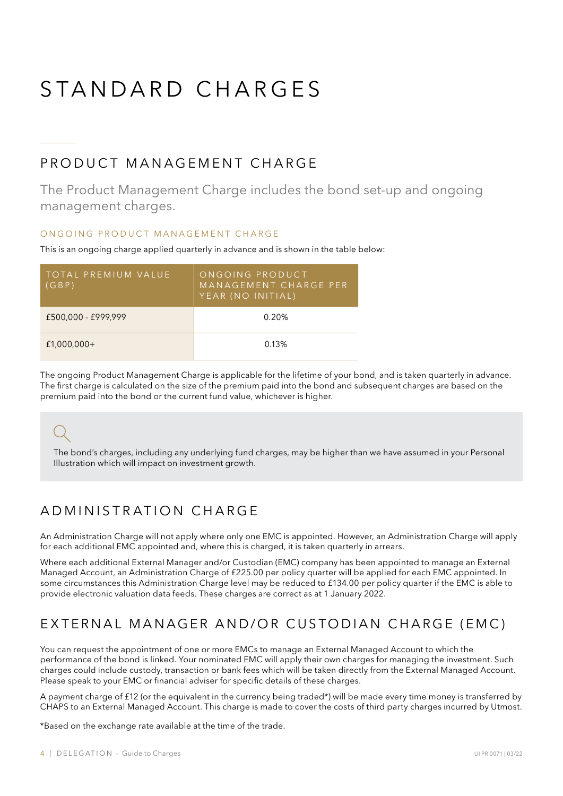# STANDARD CHARGES

### PRODUCT MANAGEMENT CHARGE

The Product Management Charge includes the bond set-up and ongoing management charges.

#### ON GOING PRODUCT MANAGEMENT CHARGE

This is an ongoing charge applied quarterly in advance and is shown in the table below:

| 'TOTAL PREMIUM VALUE<br>(GBP) | ONGOING PRODUCT<br>MANAGEMENT CHARGE PER<br>YEAR (NO INITIAL) |
|-------------------------------|---------------------------------------------------------------|
| £500,000 - £999,999           | 0.20%                                                         |
| $£1,000,000+$                 | 0.13%                                                         |

The ongoing Product Management Charge is applicable for the lifetime of your bond, and is taken quarterly in advance. The first charge is calculated on the size of the premium paid into the bond and subsequent charges are based on the premium paid into the bond or the current fund value, whichever is higher.

The bond's charges, including any underlying fund charges, may be higher than we have assumed in your Personal Illustration which will impact on investment growth.

### A D M INISTRATION CHARGE

An Administration Charge will not apply where only one EMC is appointed. However, an Administration Charge will apply for each additional EMC appointed and, where this is charged, it is taken quarterly in arrears.

Where each additional External Manager and/or Custodian (EMC) company has been appointed to manage an External Managed Account, an Administration Charge of £225.00 per policy quarter will be applied for each EMC appointed. In some circumstances this Administration Charge level may be reduced to £134.00 per policy quarter if the EMC is able to provide electronic valuation data feeds. These charges are correct as at 1 January 2022.

### EXTERNAL MANAGER AND/OR CUSTODIAN CHARGE (EMC)

You can request the appointment of one or more EMCs to manage an External Managed Account to which the performance of the bond is linked. Your nominated EMC will apply their own charges for managing the investment. Such charges could include custody, transaction or bank fees which will be taken directly from the External Managed Account. Please speak to your EMC or financial adviser for specific details of these charges.

A payment charge of £12 (or the equivalent in the currency being traded\*) will be made every time money is transferred by CHAPS to an External Managed Account. This charge is made to cover the costs of third party charges incurred by Utmost.

\*Based on the exchange rate available at the time of the trade.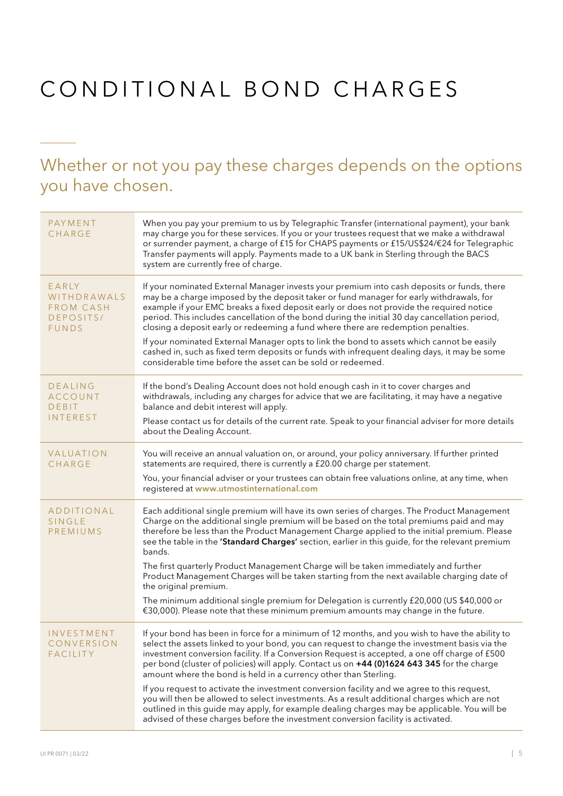# CONDITIONAL BOND CHARGES

### Whether or not you pay these charges depends on the options you have chosen.

| PAYMENT<br><b>CHARGE</b>                                              | When you pay your premium to us by Telegraphic Transfer (international payment), your bank<br>may charge you for these services. If you or your trustees request that we make a withdrawal<br>or surrender payment, a charge of £15 for CHAPS payments or £15/US\$24/€24 for Telegraphic<br>Transfer payments will apply. Payments made to a UK bank in Sterling through the BACS<br>system are currently free of charge.                                               |
|-----------------------------------------------------------------------|-------------------------------------------------------------------------------------------------------------------------------------------------------------------------------------------------------------------------------------------------------------------------------------------------------------------------------------------------------------------------------------------------------------------------------------------------------------------------|
| EARLY<br>WITHDRAWALS<br><b>FROM CASH</b><br>DEPOSITS/<br><b>FUNDS</b> | If your nominated External Manager invests your premium into cash deposits or funds, there<br>may be a charge imposed by the deposit taker or fund manager for early withdrawals, for<br>example if your EMC breaks a fixed deposit early or does not provide the required notice<br>period. This includes cancellation of the bond during the initial 30 day cancellation period,<br>closing a deposit early or redeeming a fund where there are redemption penalties. |
|                                                                       | If your nominated External Manager opts to link the bond to assets which cannot be easily<br>cashed in, such as fixed term deposits or funds with infrequent dealing days, it may be some<br>considerable time before the asset can be sold or redeemed.                                                                                                                                                                                                                |
| <b>DEALING</b><br><b>ACCOUNT</b><br><b>DEBIT</b>                      | If the bond's Dealing Account does not hold enough cash in it to cover charges and<br>withdrawals, including any charges for advice that we are facilitating, it may have a negative<br>balance and debit interest will apply.                                                                                                                                                                                                                                          |
| <b>INTEREST</b>                                                       | Please contact us for details of the current rate. Speak to your financial adviser for more details<br>about the Dealing Account.                                                                                                                                                                                                                                                                                                                                       |
| VALUATION<br><b>CHARGE</b>                                            | You will receive an annual valuation on, or around, your policy anniversary. If further printed<br>statements are required, there is currently a £20.00 charge per statement.                                                                                                                                                                                                                                                                                           |
|                                                                       | You, your financial adviser or your trustees can obtain free valuations online, at any time, when<br>registered at www.utmostinternational.com                                                                                                                                                                                                                                                                                                                          |
| ADDITIONAL<br><b>SINGLE</b><br>PREMIUMS                               | Each additional single premium will have its own series of charges. The Product Management<br>Charge on the additional single premium will be based on the total premiums paid and may<br>therefore be less than the Product Management Charge applied to the initial premium. Please<br>see the table in the 'Standard Charges' section, earlier in this guide, for the relevant premium<br>bands.                                                                     |
|                                                                       | The first quarterly Product Management Charge will be taken immediately and further<br>Product Management Charges will be taken starting from the next available charging date of<br>the original premium.                                                                                                                                                                                                                                                              |
|                                                                       | The minimum additional single premium for Delegation is currently £20,000 (US \$40,000 or<br>€30,000). Please note that these minimum premium amounts may change in the future.                                                                                                                                                                                                                                                                                         |
| INVESTMENT<br>CONVERSION<br><b>FACILITY</b>                           | If your bond has been in force for a minimum of 12 months, and you wish to have the ability to<br>select the assets linked to your bond, you can request to change the investment basis via the<br>investment conversion facility. If a Conversion Request is accepted, a one off charge of £500<br>per bond (cluster of policies) will apply. Contact us on +44 (0)1624 643 345 for the charge<br>amount where the bond is held in a currency other than Sterling.     |
|                                                                       | If you request to activate the investment conversion facility and we agree to this request,<br>you will then be allowed to select investments. As a result additional charges which are not<br>outlined in this guide may apply, for example dealing charges may be applicable. You will be<br>advised of these charges before the investment conversion facility is activated.                                                                                         |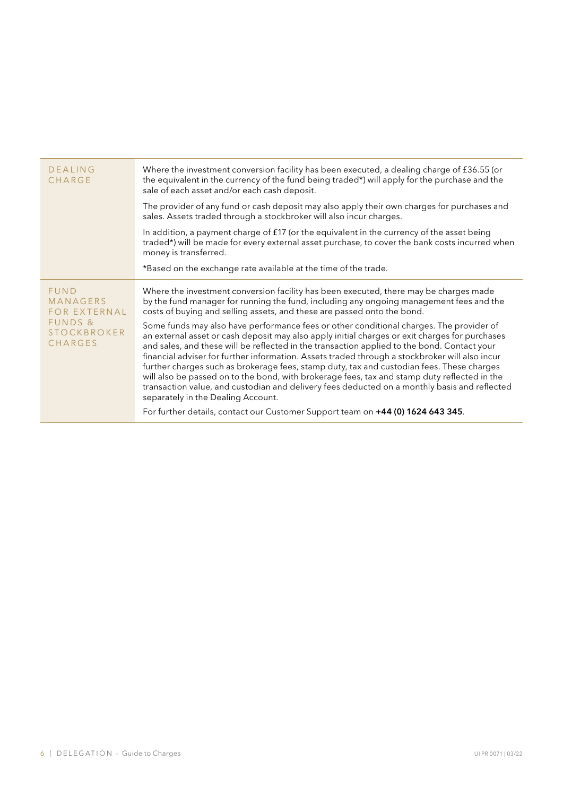| DEALING<br>CHARGE                                                                   | Where the investment conversion facility has been executed, a dealing charge of £36.55 (or<br>the equivalent in the currency of the fund being traded*) will apply for the purchase and the<br>sale of each asset and/or each cash deposit.                                                                                                                                                                                                                                                                                                                                                                                                                                                                                   |  |
|-------------------------------------------------------------------------------------|-------------------------------------------------------------------------------------------------------------------------------------------------------------------------------------------------------------------------------------------------------------------------------------------------------------------------------------------------------------------------------------------------------------------------------------------------------------------------------------------------------------------------------------------------------------------------------------------------------------------------------------------------------------------------------------------------------------------------------|--|
|                                                                                     | The provider of any fund or cash deposit may also apply their own charges for purchases and<br>sales. Assets traded through a stockbroker will also incur charges.                                                                                                                                                                                                                                                                                                                                                                                                                                                                                                                                                            |  |
|                                                                                     | In addition, a payment charge of $f17$ (or the equivalent in the currency of the asset being<br>traded*) will be made for every external asset purchase, to cover the bank costs incurred when<br>money is transferred.                                                                                                                                                                                                                                                                                                                                                                                                                                                                                                       |  |
|                                                                                     | *Based on the exchange rate available at the time of the trade.                                                                                                                                                                                                                                                                                                                                                                                                                                                                                                                                                                                                                                                               |  |
| <b>FUND</b><br>MANAGERS<br>FOR EXTERNAL<br>FUNDS &<br><b>STOCKBROKER</b><br>CHARGES | Where the investment conversion facility has been executed, there may be charges made<br>by the fund manager for running the fund, including any ongoing management fees and the<br>costs of buying and selling assets, and these are passed onto the bond.                                                                                                                                                                                                                                                                                                                                                                                                                                                                   |  |
|                                                                                     | Some funds may also have performance fees or other conditional charges. The provider of<br>an external asset or cash deposit may also apply initial charges or exit charges for purchases<br>and sales, and these will be reflected in the transaction applied to the bond. Contact your<br>financial adviser for further information. Assets traded through a stockbroker will also incur<br>further charges such as brokerage fees, stamp duty, tax and custodian fees. These charges<br>will also be passed on to the bond, with brokerage fees, tax and stamp duty reflected in the<br>transaction value, and custodian and delivery fees deducted on a monthly basis and reflected<br>separately in the Dealing Account. |  |
|                                                                                     | For further details, contact our Customer Support team on +44 (0) 1624 643 345.                                                                                                                                                                                                                                                                                                                                                                                                                                                                                                                                                                                                                                               |  |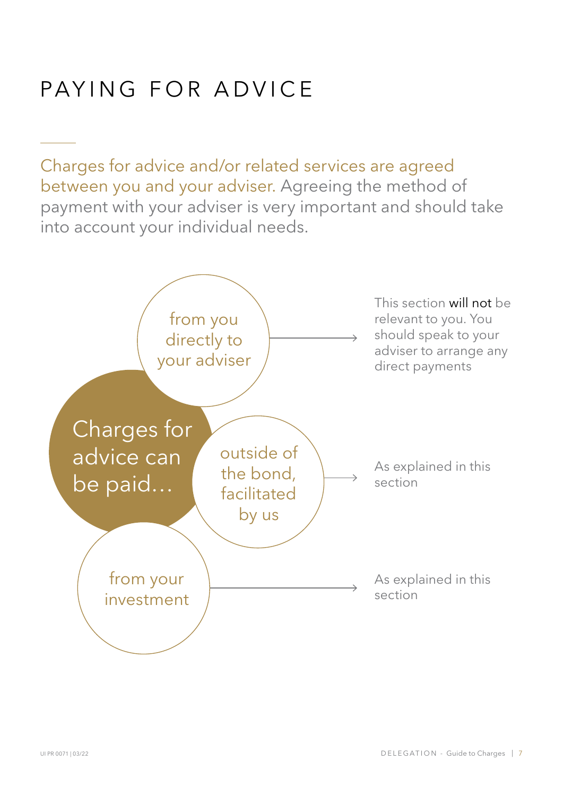# PAYING FOR ADVICE

Charges for advice and/or related services are agreed between you and your adviser. Agreeing the method of payment with your adviser is very important and should take into account your individual needs.

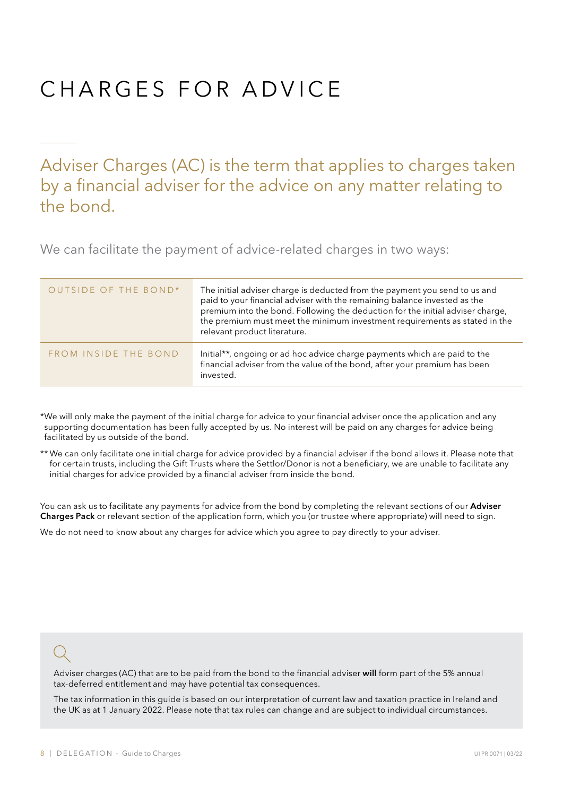# CHARGES FOR ADVICE

Adviser Charges (AC) is the term that applies to charges taken by a financial adviser for the advice on any matter relating to the bond.

We can facilitate the payment of advice-related charges in two ways:

| OUTSIDE OF THE BOND* | The initial adviser charge is deducted from the payment you send to us and<br>paid to your financial adviser with the remaining balance invested as the<br>premium into the bond. Following the deduction for the initial adviser charge,<br>the premium must meet the minimum investment requirements as stated in the<br>relevant product literature. |
|----------------------|---------------------------------------------------------------------------------------------------------------------------------------------------------------------------------------------------------------------------------------------------------------------------------------------------------------------------------------------------------|
| FROM INSIDE THE BOND | Initial**, ongoing or ad hoc advice charge payments which are paid to the<br>financial adviser from the value of the bond, after your premium has been<br>invested.                                                                                                                                                                                     |

\*We will only make the payment of the initial charge for advice to your financial adviser once the application and any supporting documentation has been fully accepted by us. No interest will be paid on any charges for advice being facilitated by us outside of the bond.

\*\* We can only facilitate one initial charge for advice provided by a financial adviser if the bond allows it. Please note that for certain trusts, including the Gift Trusts where the Settlor/Donor is not a beneficiary, we are unable to facilitate any initial charges for advice provided by a financial adviser from inside the bond.

You can ask us to facilitate any payments for advice from the bond by completing the relevant sections of our Adviser Charges Pack or relevant section of the application form, which you (or trustee where appropriate) will need to sign.

We do not need to know about any charges for advice which you agree to pay directly to your adviser.

Adviser charges (AC) that are to be paid from the bond to the financial adviser will form part of the 5% annual tax-deferred entitlement and may have potential tax consequences.

The tax information in this guide is based on our interpretation of current law and taxation practice in Ireland and the UK as at 1 January 2022. Please note that tax rules can change and are subject to individual circumstances.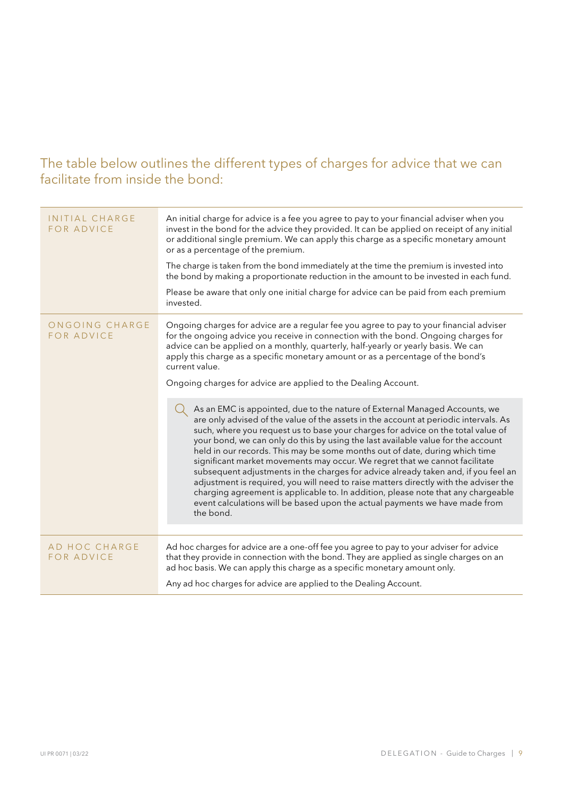### The table below outlines the different types of charges for advice that we can facilitate from inside the bond:

| INITIAL CHARGE<br><b>FOR ADVICE</b> | An initial charge for advice is a fee you agree to pay to your financial adviser when you<br>invest in the bond for the advice they provided. It can be applied on receipt of any initial<br>or additional single premium. We can apply this charge as a specific monetary amount<br>or as a percentage of the premium.<br>The charge is taken from the bond immediately at the time the premium is invested into<br>the bond by making a proportionate reduction in the amount to be invested in each fund.<br>Please be aware that only one initial charge for advice can be paid from each premium<br>invested.                                                                                                                                                                                                                                                      |
|-------------------------------------|-------------------------------------------------------------------------------------------------------------------------------------------------------------------------------------------------------------------------------------------------------------------------------------------------------------------------------------------------------------------------------------------------------------------------------------------------------------------------------------------------------------------------------------------------------------------------------------------------------------------------------------------------------------------------------------------------------------------------------------------------------------------------------------------------------------------------------------------------------------------------|
| ONGOING CHARGE<br><b>FOR ADVICE</b> | Ongoing charges for advice are a regular fee you agree to pay to your financial adviser<br>for the ongoing advice you receive in connection with the bond. Ongoing charges for<br>advice can be applied on a monthly, quarterly, half-yearly or yearly basis. We can<br>apply this charge as a specific monetary amount or as a percentage of the bond's<br>current value.<br>Ongoing charges for advice are applied to the Dealing Account.                                                                                                                                                                                                                                                                                                                                                                                                                            |
|                                     | As an EMC is appointed, due to the nature of External Managed Accounts, we<br>are only advised of the value of the assets in the account at periodic intervals. As<br>such, where you request us to base your charges for advice on the total value of<br>your bond, we can only do this by using the last available value for the account<br>held in our records. This may be some months out of date, during which time<br>significant market movements may occur. We regret that we cannot facilitate<br>subsequent adjustments in the charges for advice already taken and, if you feel an<br>adjustment is required, you will need to raise matters directly with the adviser the<br>charging agreement is applicable to. In addition, please note that any chargeable<br>event calculations will be based upon the actual payments we have made from<br>the bond. |
|                                     |                                                                                                                                                                                                                                                                                                                                                                                                                                                                                                                                                                                                                                                                                                                                                                                                                                                                         |
| AD HOC CHARGE<br><b>FOR ADVICE</b>  | Ad hoc charges for advice are a one-off fee you agree to pay to your adviser for advice<br>that they provide in connection with the bond. They are applied as single charges on an<br>ad hoc basis. We can apply this charge as a specific monetary amount only.                                                                                                                                                                                                                                                                                                                                                                                                                                                                                                                                                                                                        |
|                                     | Any ad hoc charges for advice are applied to the Dealing Account.                                                                                                                                                                                                                                                                                                                                                                                                                                                                                                                                                                                                                                                                                                                                                                                                       |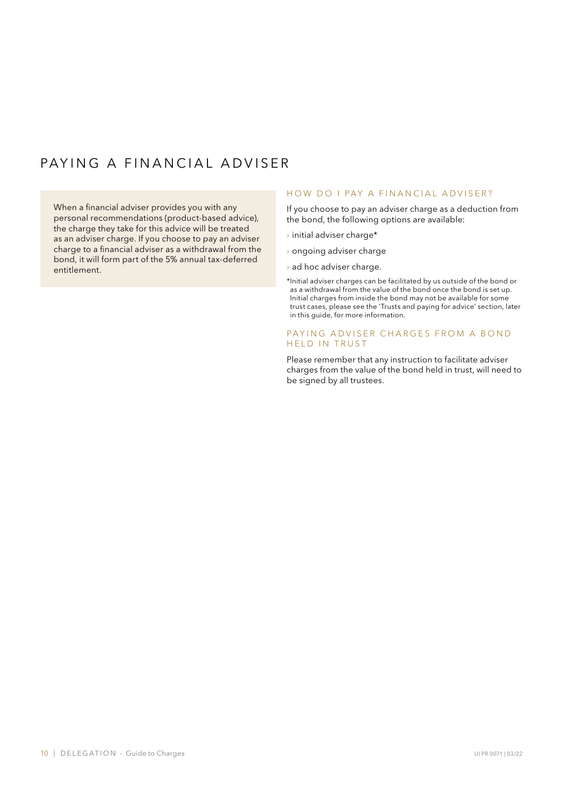### PAYING A FINANCIAL ADVISER

When a financial adviser provides you with any personal recommendations (product-based advice), the charge they take for this advice will be treated as an adviser charge. If you choose to pay an adviser charge to a financial adviser as a withdrawal from the bond, it will form part of the 5% annual tax-deferred entitlement.

#### HOW DO I PAY A FINANCIAL ADVISER?

If you choose to pay an adviser charge as a deduction from the bond, the following options are available:

- › initial adviser charge\*
- › ongoing adviser charge
- › ad hoc adviser charge.
- \* Initial adviser charges can be facilitated by us outside of the bond or as a withdrawal from the value of the bond once the bond is set up. Initial charges from inside the bond may not be available for some trust cases, please see the 'Trusts and paying for advice' section, later in this guide, for more information.

#### PAYING ADVISER CHARGES FROM A BOND HELD IN TRUST

Please remember that any instruction to facilitate adviser charges from the value of the bond held in trust, will need to be signed by all trustees.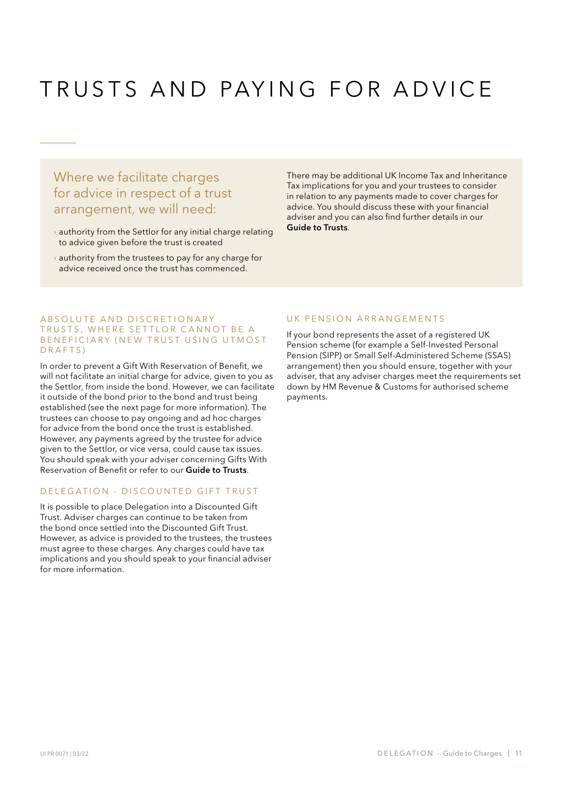# TRUSTS AND PAYING FOR ADVICE

Where we facilitate charges for advice in respect of a trust arrangement, we will need:

- $\rightarrow$  authority from the Settlor for any initial charge relating to advice given before the trust is created
- $\rightarrow$  authority from the trustees to pay for any charge for advice received once the trust has commenced.

There may be additional UK Income Tax and Inheritance Tax implications for you and your trustees to consider in relation to any payments made to cover charges for advice. You should discuss these with your financial adviser and you can also find further details in our Guide to Trusts.

#### A B S OLUTE AND DISCRETIONARY TRUSTS, WHERE SETTLOR CANNOT BE A BENEFICIARY (NEW TRUST USING UTMOST D R A F T S )

In order to prevent a Gift With Reservation of Benefit, we will not facilitate an initial charge for advice, given to you as the Settlor, from inside the bond. However, we can facilitate it outside of the bond prior to the bond and trust being established (see the next page for more information). The trustees can choose to pay ongoing and ad hoc charges for advice from the bond once the trust is established. However, any payments agreed by the trustee for advice given to the Settlor, or vice versa, could cause tax issues. You should speak with your adviser concerning Gifts With Reservation of Benefit or refer to our Guide to Trusts.

#### DELEGATION - DISCOUNTED GIFT TRUST

It is possible to place Delegation into a Discounted Gift Trust. Adviser charges can continue to be taken from the bond once settled into the Discounted Gift Trust. However, as advice is provided to the trustees, the trustees must agree to these charges. Any charges could have tax implications and you should speak to your financial adviser for more information.

#### UK PENSION ARRANGEMENTS

If your bond represents the asset of a registered UK Pension scheme (for example a Self-Invested Personal Pension (SIPP) or Small Self-Administered Scheme (SSAS) arrangement) then you should ensure, together with your adviser, that any adviser charges meet the requirements set down by HM Revenue & Customs for authorised scheme payments.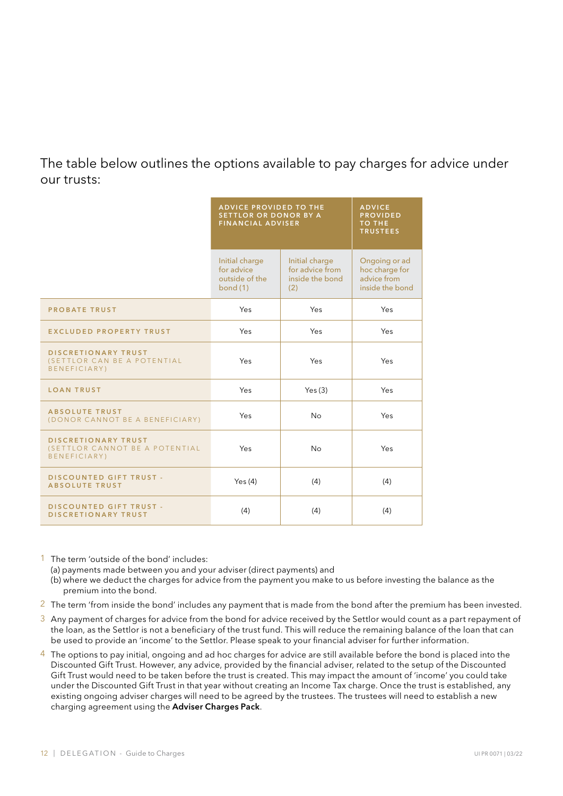### The table below outlines the options available to pay charges for advice under our trusts:

|                                                                              | <b>ADVICE PROVIDED TO THE</b><br><b>SETTLOR OR DONOR BY A</b><br><b>FINANCIAL ADVISER</b> |                                                             | <b>ADVICE</b><br><b>PROVIDED</b><br><b>TO THE</b><br><b>TRUSTEES</b> |
|------------------------------------------------------------------------------|-------------------------------------------------------------------------------------------|-------------------------------------------------------------|----------------------------------------------------------------------|
|                                                                              | Initial charge<br>for advice<br>outside of the<br>bond $(1)$                              | Initial charge<br>for advice from<br>inside the bond<br>(2) | Ongoing or ad<br>hoc charge for<br>advice from<br>inside the bond    |
| <b>PROBATE TRUST</b>                                                         | Yes                                                                                       | Yes                                                         | Yes                                                                  |
| <b>EXCLUDED PROPERTY TRUST</b>                                               | Yes                                                                                       | Yes                                                         | Yes                                                                  |
| <b>DISCRETIONARY TRUST</b><br>(SETTLOR CAN BE A POTENTIAL<br>BENEFICIARY)    | Yes                                                                                       | Yes                                                         | Yes                                                                  |
| <b>LOAN TRUST</b>                                                            | Yes                                                                                       | Yes(3)                                                      | Yes                                                                  |
| <b>ABSOLUTE TRUST</b><br>(DONOR CANNOT BE A BENEFICIARY)                     | Yes                                                                                       | <b>No</b>                                                   | Yes                                                                  |
| <b>DISCRETIONARY TRUST</b><br>(SETTLOR CANNOT BE A POTENTIAL<br>BENEFICIARY) | Yes                                                                                       | <b>No</b>                                                   | Yes                                                                  |
| <b>DISCOUNTED GIFT TRUST -</b><br><b>ABSOLUTE TRUST</b>                      | Yes $(4)$                                                                                 | (4)                                                         | (4)                                                                  |
| <b>DISCOUNTED GIFT TRUST -</b><br>DISCRETIONARY TRUST                        | (4)                                                                                       | (4)                                                         | (4)                                                                  |

1 The term 'outside of the bond' includes:

(a) payments made between you and your adviser (direct payments) and

- (b) where we deduct the charges for advice from the payment you make to us before investing the balance as the premium into the bond.
- 2 The term 'from inside the bond' includes any payment that is made from the bond after the premium has been invested.
- 3 Any payment of charges for advice from the bond for advice received by the Settlor would count as a part repayment of the loan, as the Settlor is not a beneficiary of the trust fund. This will reduce the remaining balance of the loan that can be used to provide an 'income' to the Settlor. Please speak to your financial adviser for further information.
- 4 The options to pay initial, ongoing and ad hoc charges for advice are still available before the bond is placed into the Discounted Gift Trust. However, any advice, provided by the financial adviser, related to the setup of the Discounted Gift Trust would need to be taken before the trust is created. This may impact the amount of 'income' you could take under the Discounted Gift Trust in that year without creating an Income Tax charge. Once the trust is established, any existing ongoing adviser charges will need to be agreed by the trustees. The trustees will need to establish a new charging agreement using the Adviser Charges Pack.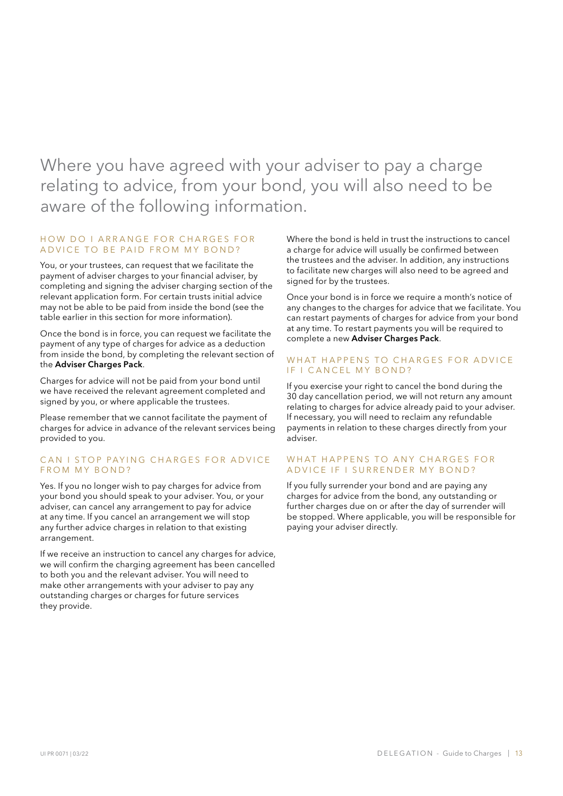Where you have agreed with your adviser to pay a charge relating to advice, from your bond, you will also need to be aware of the following information.

#### HOW DO I ARRANGE FOR CHARGES FOR A D VICE TO BE PAID FROM MY BOND?

You, or your trustees, can request that we facilitate the payment of adviser charges to your financial adviser, by completing and signing the adviser charging section of the relevant application form. For certain trusts initial advice may not be able to be paid from inside the bond (see the table earlier in this section for more information).

Once the bond is in force, you can request we facilitate the payment of any type of charges for advice as a deduction from inside the bond, by completing the relevant section of the Adviser Charges Pack.

Charges for advice will not be paid from your bond until we have received the relevant agreement completed and signed by you, or where applicable the trustees.

Please remember that we cannot facilitate the payment of charges for advice in advance of the relevant services being provided to you.

#### CAN I STOP PAYING CHARGES FOR ADVICE FROM MY BOND?

Yes. If you no longer wish to pay charges for advice from your bond you should speak to your adviser. You, or your adviser, can cancel any arrangement to pay for advice at any time. If you cancel an arrangement we will stop any further advice charges in relation to that existing arrangement.

If we receive an instruction to cancel any charges for advice, we will confirm the charging agreement has been cancelled to both you and the relevant adviser. You will need to make other arrangements with your adviser to pay any outstanding charges or charges for future services they provide.

Where the bond is held in trust the instructions to cancel a charge for advice will usually be confirmed between the trustees and the adviser. In addition, any instructions to facilitate new charges will also need to be agreed and signed for by the trustees.

Once your bond is in force we require a month's notice of any changes to the charges for advice that we facilitate. You can restart payments of charges for advice from your bond at any time. To restart payments you will be required to complete a new Adviser Charges Pack.

#### WHAT HAPPFNS TO CHARGES FOR ADVICE IF I CANCEL MY BOND?

If you exercise your right to cancel the bond during the 30 day cancellation period, we will not return any amount relating to charges for advice already paid to your adviser. If necessary, you will need to reclaim any refundable payments in relation to these charges directly from your adviser.

#### WHAT HAPPENS TO ANY CHARGES FOR A D VICE IF I SURRENDER MY BOND?

If you fully surrender your bond and are paying any charges for advice from the bond, any outstanding or further charges due on or after the day of surrender will be stopped. Where applicable, you will be responsible for paying your adviser directly.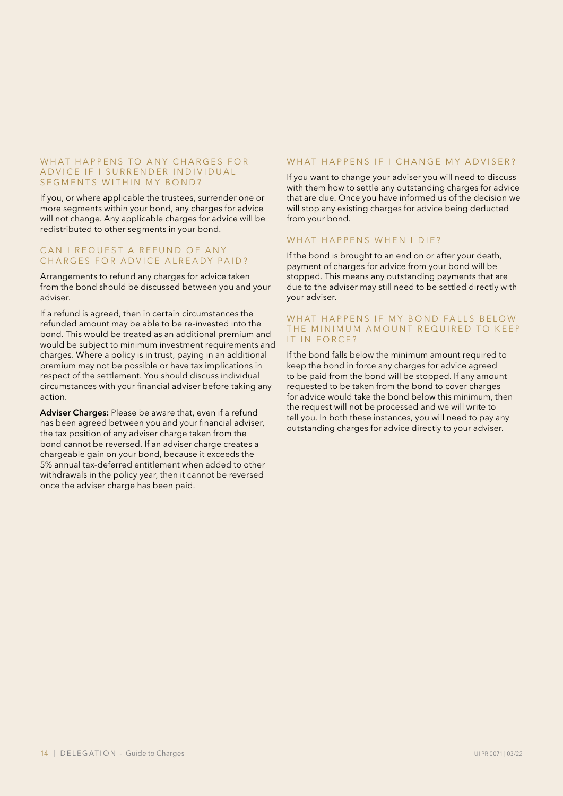#### WHAT HAPPENS TO ANY CHARGES FOR A D VICE IF I SURREN DER IN DIVIDUAL SEGMENTS WITHIN MY BOND?

If you, or where applicable the trustees, surrender one or more segments within your bond, any charges for advice will not change. Any applicable charges for advice will be redistributed to other segments in your bond.

#### CAN I REQUEST A REFUND OF ANY CHARGES FOR ADVICE ALREADY PAID?

Arrangements to refund any charges for advice taken from the bond should be discussed between you and your adviser.

If a refund is agreed, then in certain circumstances the refunded amount may be able to be re-invested into the bond. This would be treated as an additional premium and would be subject to minimum investment requirements and charges. Where a policy is in trust, paying in an additional premium may not be possible or have tax implications in respect of the settlement. You should discuss individual circumstances with your financial adviser before taking any action.

Adviser Charges: Please be aware that, even if a refund has been agreed between you and your financial adviser, the tax position of any adviser charge taken from the bond cannot be reversed. If an adviser charge creates a chargeable gain on your bond, because it exceeds the 5% annual tax-deferred entitlement when added to other withdrawals in the policy year, then it cannot be reversed once the adviser charge has been paid.

#### WHAT HAPPENS IF I CHANGE MY ADVISER?

If you want to change your adviser you will need to discuss with them how to settle any outstanding charges for advice that are due. Once you have informed us of the decision we will stop any existing charges for advice being deducted from your bond.

#### WHAT HAPPENS WHEN I DIE?

If the bond is brought to an end on or after your death, payment of charges for advice from your bond will be stopped. This means any outstanding payments that are due to the adviser may still need to be settled directly with your adviser.

#### WHAT HAPPENS IF MY BOND FALLS BELOW THE MINIMUM AMOUNT REQUIRED TO KEEP IT IN FORCE?

If the bond falls below the minimum amount required to keep the bond in force any charges for advice agreed to be paid from the bond will be stopped. If any amount requested to be taken from the bond to cover charges for advice would take the bond below this minimum, then the request will not be processed and we will write to tell you. In both these instances, you will need to pay any outstanding charges for advice directly to your adviser.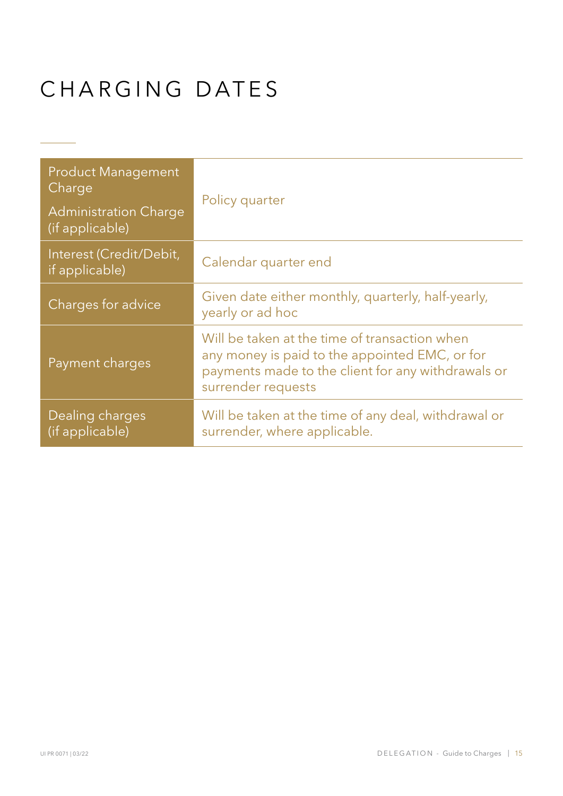# CHARGING DATES

 $\mathcal{L}(\mathcal{L})$ 

| <b>Product Management</b><br>Charge             | Policy quarter                                                                                                                                                              |  |
|-------------------------------------------------|-----------------------------------------------------------------------------------------------------------------------------------------------------------------------------|--|
| <b>Administration Charge</b><br>(if applicable) |                                                                                                                                                                             |  |
| Interest (Credit/Debit,<br>if applicable)       | Calendar quarter end                                                                                                                                                        |  |
| Charges for advice                              | Given date either monthly, quarterly, half-yearly,<br>yearly or ad hoc                                                                                                      |  |
| Payment charges                                 | Will be taken at the time of transaction when<br>any money is paid to the appointed EMC, or for<br>payments made to the client for any withdrawals or<br>surrender requests |  |
| <b>Dealing charges</b><br>(if applicable)       | Will be taken at the time of any deal, withdrawal or<br>surrender, where applicable.                                                                                        |  |